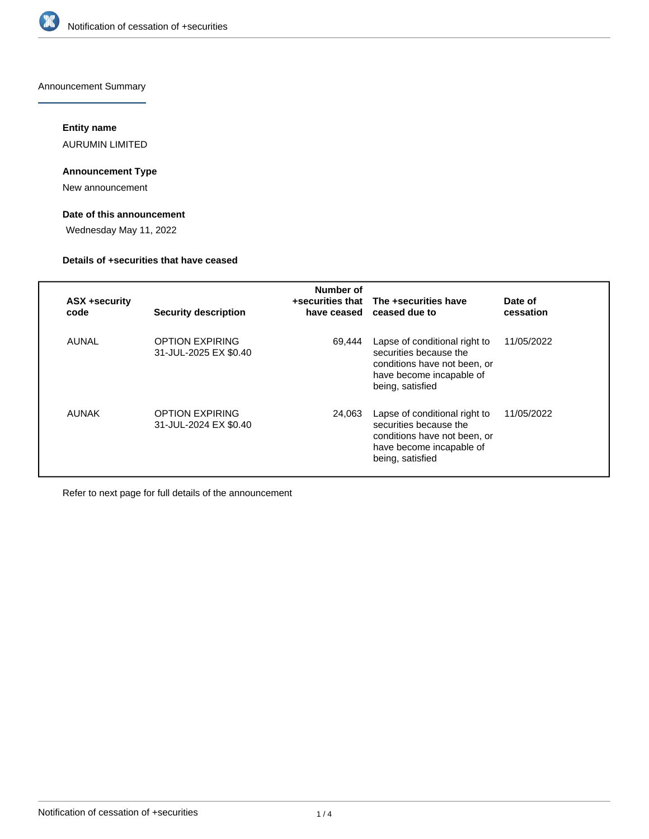

Announcement Summary

# **Entity name**

AURUMIN LIMITED

# **Announcement Type**

New announcement

# **Date of this announcement**

Wednesday May 11, 2022

## **Details of +securities that have ceased**

| <b>ASX +security</b><br>code | <b>Security description</b>                     | Number of<br>have ceased | +securities that The +securities have<br>ceased due to                                                                                  | Date of<br>cessation |
|------------------------------|-------------------------------------------------|--------------------------|-----------------------------------------------------------------------------------------------------------------------------------------|----------------------|
| AUNAL                        | <b>OPTION EXPIRING</b><br>31-JUL-2025 EX \$0.40 | 69.444                   | Lapse of conditional right to<br>securities because the<br>conditions have not been, or<br>have become incapable of<br>being, satisfied | 11/05/2022           |
| AUNAK                        | <b>OPTION EXPIRING</b><br>31-JUL-2024 EX \$0.40 | 24,063                   | Lapse of conditional right to<br>securities because the<br>conditions have not been, or<br>have become incapable of<br>being, satisfied | 11/05/2022           |

Refer to next page for full details of the announcement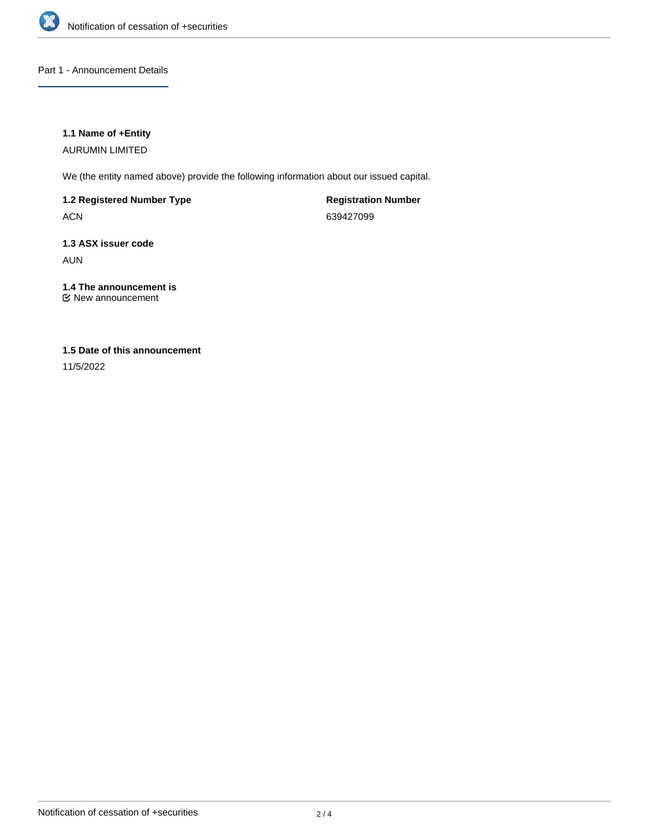

# Part 1 - Announcement Details

## **1.1 Name of +Entity**

AURUMIN LIMITED

We (the entity named above) provide the following information about our issued capital.

**1.2 Registered Number Type**

ACN

**Registration Number** 639427099

# **1.3 ASX issuer code** AUN

# **1.4 The announcement is**

New announcement

# **1.5 Date of this announcement**

11/5/2022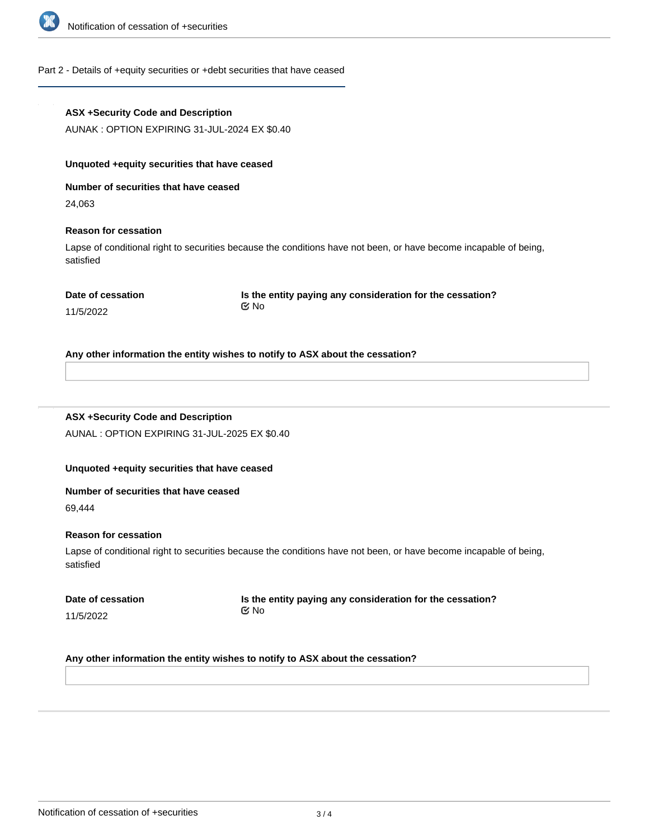

# Part 2 - Details of +equity securities or +debt securities that have ceased

| <b>ASX +Security Code and Description</b>       |                                                                                                                   |  |  |  |  |  |
|-------------------------------------------------|-------------------------------------------------------------------------------------------------------------------|--|--|--|--|--|
| AUNAK: OPTION EXPIRING 31-JUL-2024 EX \$0.40    |                                                                                                                   |  |  |  |  |  |
| Unquoted +equity securities that have ceased    |                                                                                                                   |  |  |  |  |  |
| Number of securities that have ceased           |                                                                                                                   |  |  |  |  |  |
| 24,063                                          |                                                                                                                   |  |  |  |  |  |
| <b>Reason for cessation</b>                     |                                                                                                                   |  |  |  |  |  |
| satisfied                                       | Lapse of conditional right to securities because the conditions have not been, or have become incapable of being, |  |  |  |  |  |
| Date of cessation<br>11/5/2022                  | Is the entity paying any consideration for the cessation?<br>$\propto$ No                                         |  |  |  |  |  |
|                                                 | Any other information the entity wishes to notify to ASX about the cessation?                                     |  |  |  |  |  |
| <b>ASX +Security Code and Description</b>       |                                                                                                                   |  |  |  |  |  |
| AUNAL : OPTION EXPIRING 31-JUL-2025 EX \$0.40   |                                                                                                                   |  |  |  |  |  |
|                                                 |                                                                                                                   |  |  |  |  |  |
| Unquoted +equity securities that have ceased    |                                                                                                                   |  |  |  |  |  |
|                                                 |                                                                                                                   |  |  |  |  |  |
| Number of securities that have ceased<br>69,444 |                                                                                                                   |  |  |  |  |  |
|                                                 |                                                                                                                   |  |  |  |  |  |
| <b>Reason for cessation</b><br>satisfied        | Lapse of conditional right to securities because the conditions have not been, or have become incapable of being, |  |  |  |  |  |
| Date of cessation                               | Is the entity paying any consideration for the cessation?                                                         |  |  |  |  |  |
| 11/5/2022                                       | $\mathfrak{C}$ No                                                                                                 |  |  |  |  |  |
|                                                 |                                                                                                                   |  |  |  |  |  |